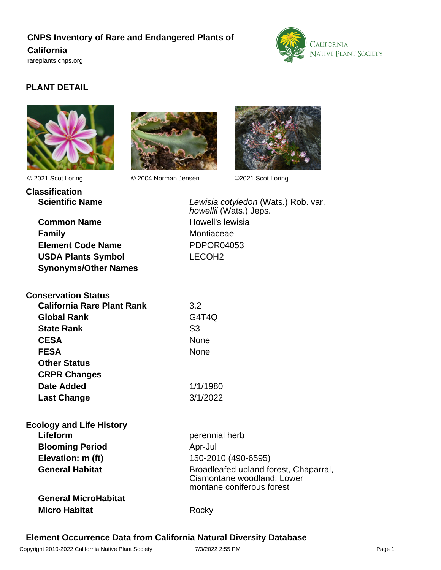# **CNPS Inventory of Rare and Endangered Plants of California** <rareplants.cnps.org>



# **PLANT DETAIL**



**Classification**

© 2021 Scot Loring © 2004 Norman Jensen ©2021 Scot Loring



Lewisia cotyledon (Wats.) Rob. var.

howellii (Wats.) Jeps.

**Common Name** Howell's lewisia **Family** Montiaceae **Element Code Name** PDPOR04053 **USDA Plants Symbol** LECOH2 **Synonyms/Other Names**

| <b>Conservation Status</b> |          |
|----------------------------|----------|
| California Rare Plant Rank | 3.2      |
| <b>Global Rank</b>         | G4T4Q    |
| <b>State Rank</b>          | S3       |
| <b>CESA</b>                | None     |
| <b>FESA</b>                | None     |
| <b>Other Status</b>        |          |
| <b>CRPR Changes</b>        |          |
| Date Added                 | 1/1/1980 |
| <b>Last Change</b>         | 3/1/2022 |

| <b>Ecology and Life History</b> |                                                                                                  |
|---------------------------------|--------------------------------------------------------------------------------------------------|
| Lifeform                        | perennial herb                                                                                   |
| <b>Blooming Period</b>          | Apr-Jul                                                                                          |
| Elevation: m (ft)               | 150-2010 (490-6595)                                                                              |
| <b>General Habitat</b>          | Broadleafed upland forest, Chaparral,<br>Cismontane woodland, Lower<br>montane coniferous forest |
| <b>General MicroHabitat</b>     |                                                                                                  |
| <b>Micro Habitat</b>            | Rock                                                                                             |

# **Element Occurrence Data from California Natural Diversity Database**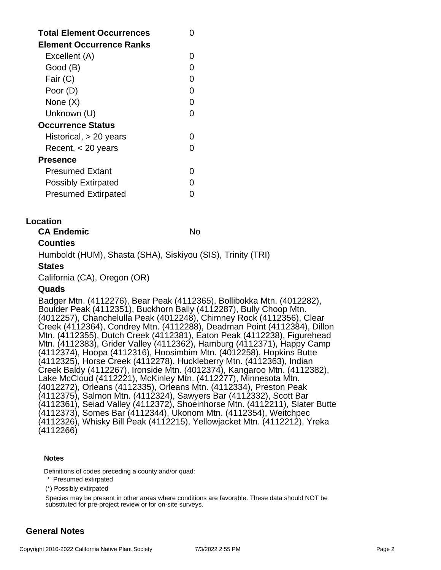| <b>Total Element Occurrences</b><br><b>Element Occurrence Ranks</b> |   |
|---------------------------------------------------------------------|---|
| Excellent (A)                                                       |   |
| Good (B)                                                            |   |
| Fair (C)                                                            |   |
| Poor (D)                                                            | O |
| None (X)                                                            |   |
| Unknown (U)                                                         |   |
| <b>Occurrence Status</b>                                            |   |
| Historical, $> 20$ years                                            |   |
| Recent, $<$ 20 years                                                |   |
| Presence                                                            |   |
| Presumed Extant                                                     |   |
| <b>Possibly Extirpated</b>                                          |   |
| <b>Presumed Extirpated</b>                                          |   |

## **Location**

**CA Endemic** No

## **Counties**

Humboldt (HUM), Shasta (SHA), Siskiyou (SIS), Trinity (TRI)

### **States**

California (CA), Oregon (OR)

#### **Quads**

Badger Mtn. (4112276), Bear Peak (4112365), Bollibokka Mtn. (4012282), Boulder Peak (4112351), Buckhorn Bally (4112287), Bully Choop Mtn. (4012257), Chanchelulla Peak (4012248), Chimney Rock (4112356), Clear Creek (4112364), Condrey Mtn. (4112288), Deadman Point (4112384), Dillon Mtn. (4112355), Dutch Creek (4112381), Eaton Peak (4112238), Figurehead Mtn. (4112383), Grider Valley (4112362), Hamburg (4112371), Happy Camp (4112374), Hoopa (4112316), Hoosimbim Mtn. (4012258), Hopkins Butte (4112325), Horse Creek (4112278), Huckleberry Mtn. (4112363), Indian Creek Baldy (4112267), Ironside Mtn. (4012374), Kangaroo Mtn. (4112382), Lake McCloud (4112221), McKinley Mtn. (4112277), Minnesota Mtn. (4012272), Orleans (4112335), Orleans Mtn. (4112334), Preston Peak (4112375), Salmon Mtn. (4112324), Sawyers Bar (4112332), Scott Bar (4112361), Seiad Valley (4112372), Shoeinhorse Mtn. (4112211), Slater Butte (4112373), Somes Bar (4112344), Ukonom Mtn. (4112354), Weitchpec (4112326), Whisky Bill Peak (4112215), Yellowjacket Mtn. (4112212), Yreka (4112266)

#### **Notes**

Definitions of codes preceding a county and/or quad:

\* Presumed extirpated

(\*) Possibly extirpated

Species may be present in other areas where conditions are favorable. These data should NOT be substituted for pre-project review or for on-site surveys.

# **General Notes**